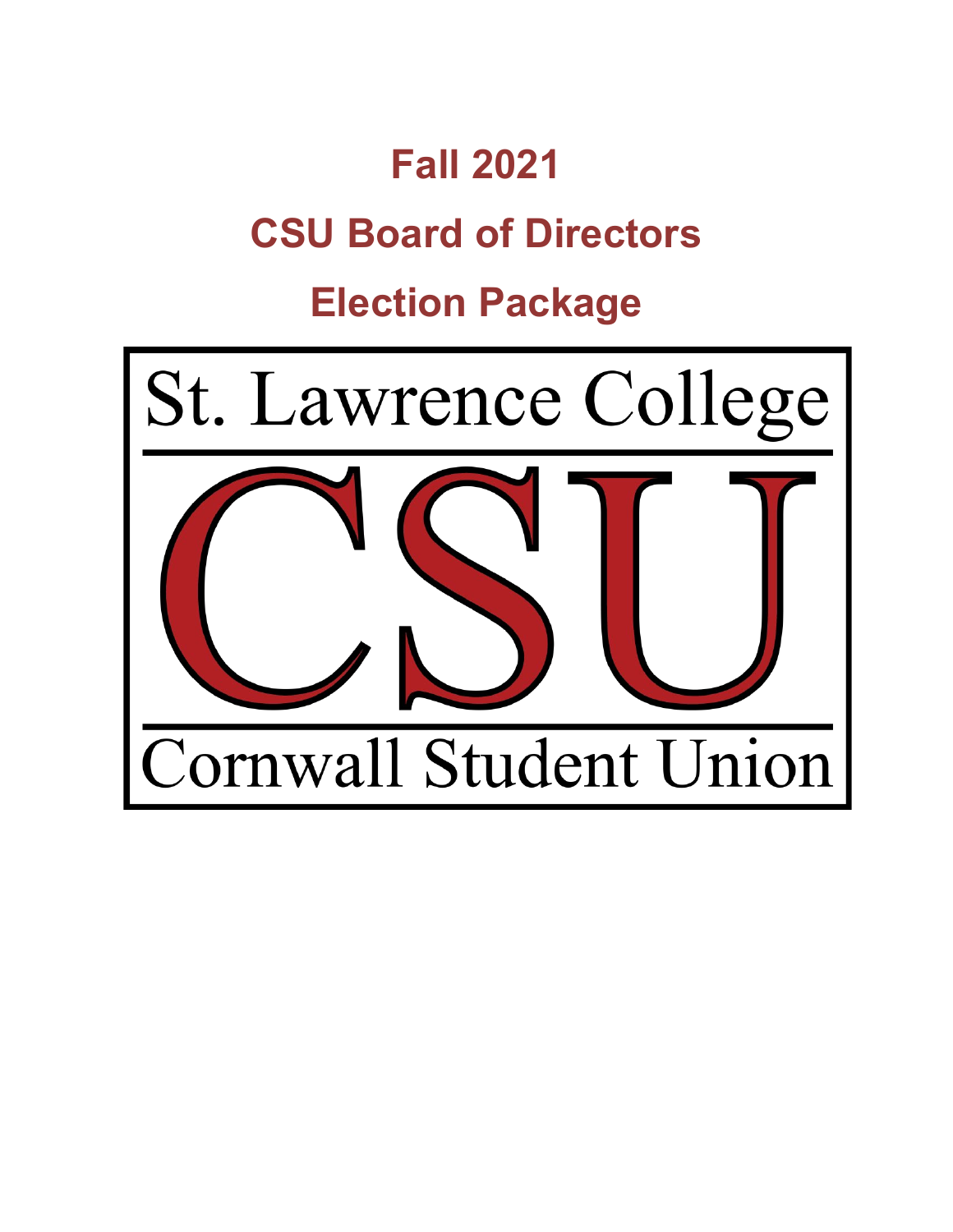# **Fall 2021 CSU Board of Directors**

## **Election Package**

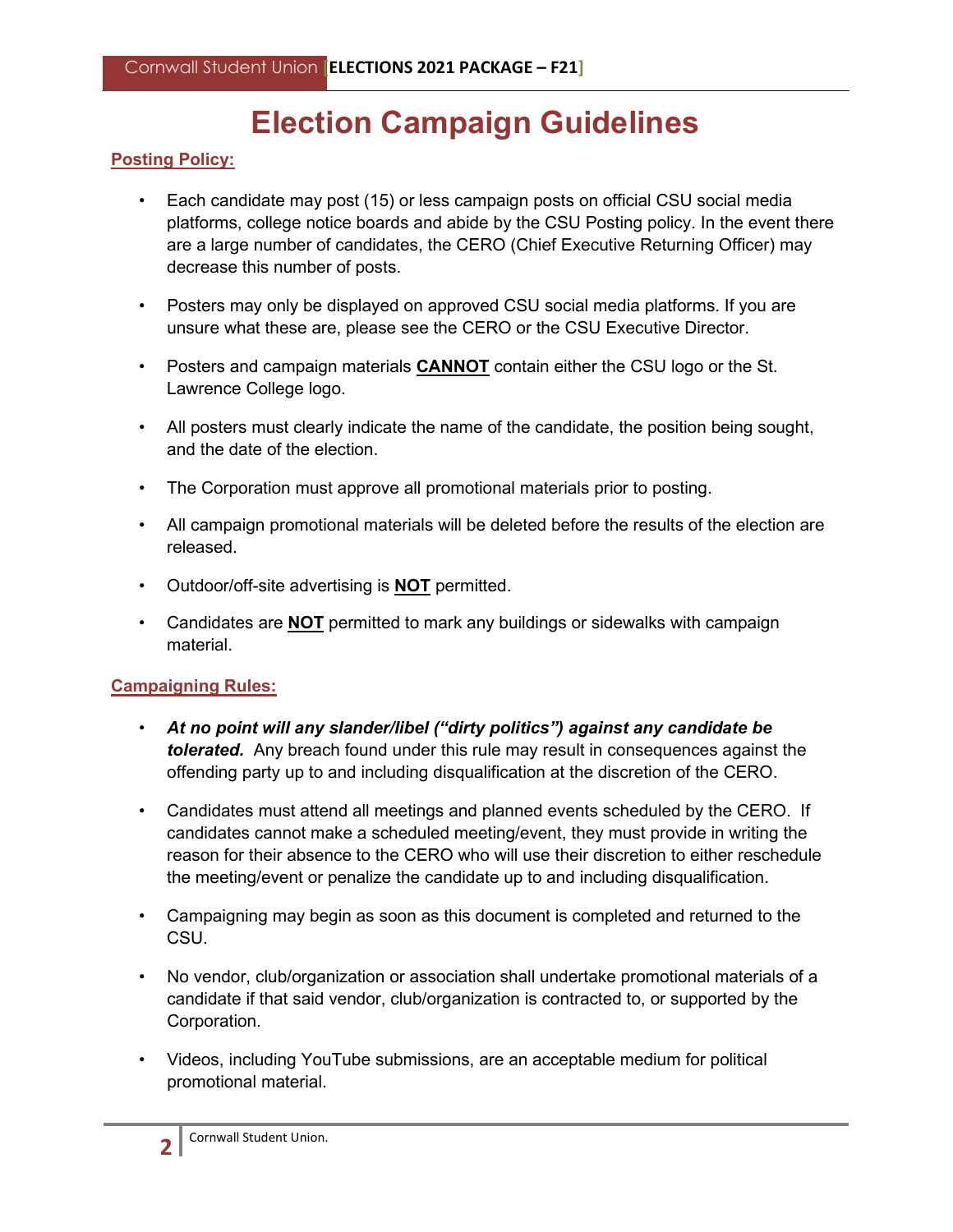### **Election Campaign Guidelines**

#### **Posting Policy:**

- Each candidate may post (15) or less campaign posts on official CSU social media platforms, college notice boards and abide by the CSU Posting policy. In the event there are a large number of candidates, the CERO (Chief Executive Returning Officer) may decrease this number of posts.
- Posters may only be displayed on approved CSU social media platforms. If you are unsure what these are, please see the CERO or the CSU Executive Director.
- Posters and campaign materials **CANNOT** contain either the CSU logo or the St. Lawrence College logo.
- All posters must clearly indicate the name of the candidate, the position being sought, and the date of the election.
- The Corporation must approve all promotional materials prior to posting.
- All campaign promotional materials will be deleted before the results of the election are released.
- Outdoor/off-site advertising is **NOT** permitted.
- Candidates are **NOT** permitted to mark any buildings or sidewalks with campaign material.

#### **Campaigning Rules:**

- *At no point will any slander/libel ("dirty politics") against any candidate be tolerated.* Any breach found under this rule may result in consequences against the offending party up to and including disqualification at the discretion of the CERO.
- Candidates must attend all meetings and planned events scheduled by the CERO. If candidates cannot make a scheduled meeting/event, they must provide in writing the reason for their absence to the CERO who will use their discretion to either reschedule the meeting/event or penalize the candidate up to and including disqualification.
- Campaigning may begin as soon as this document is completed and returned to the CSU.
- No vendor, club/organization or association shall undertake promotional materials of a candidate if that said vendor, club/organization is contracted to, or supported by the Corporation.
- Videos, including YouTube submissions, are an acceptable medium for political promotional material.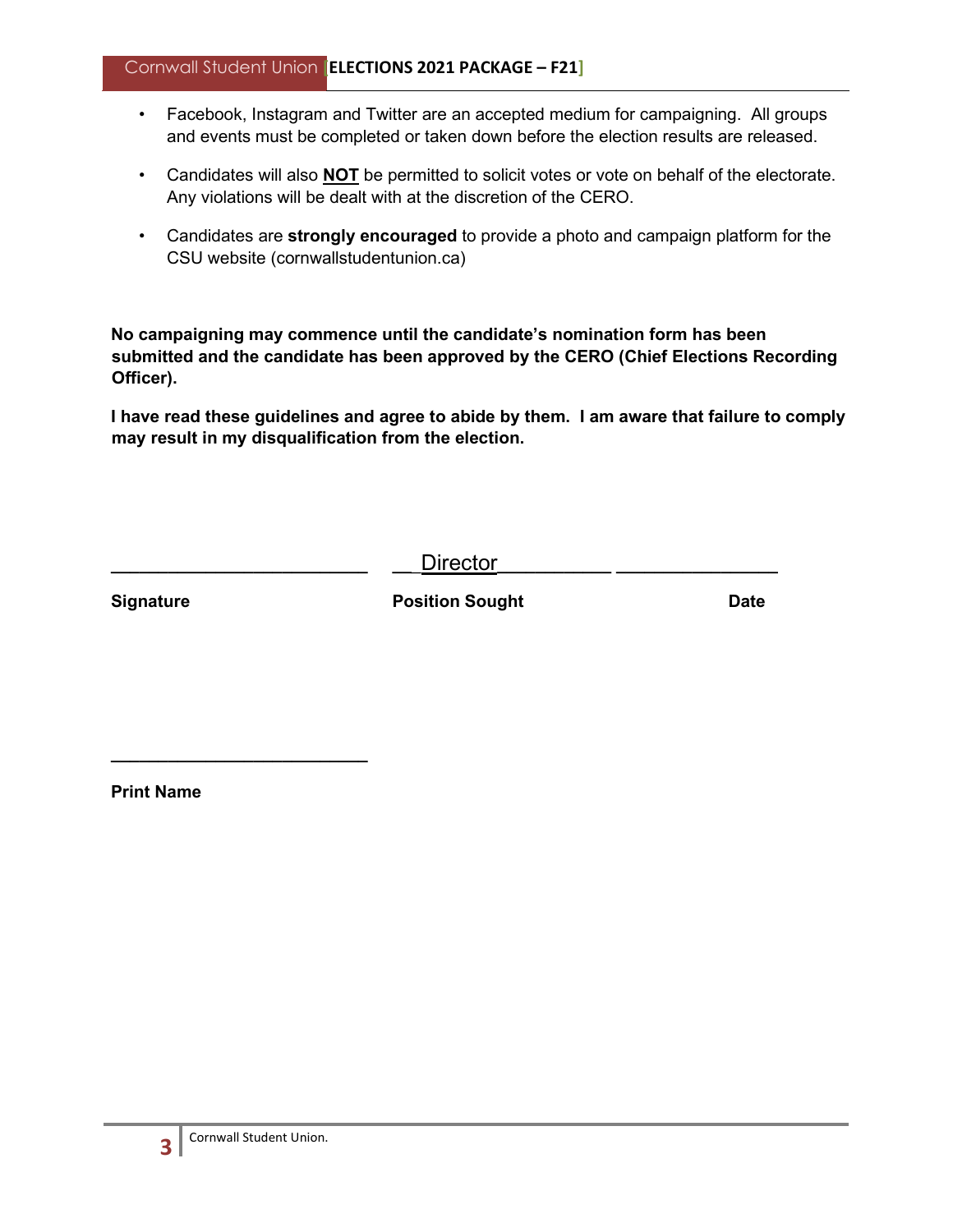#### Cornwall Student Union **[ELECTIONS 2021 PACKAGE – F21]**

- Facebook, Instagram and Twitter are an accepted medium for campaigning. All groups and events must be completed or taken down before the election results are released.
- Candidates will also **NOT** be permitted to solicit votes or vote on behalf of the electorate. Any violations will be dealt with at the discretion of the CERO.
- Candidates are **strongly encouraged** to provide a photo and campaign platform for the CSU website (cornwallstudentunion.ca)

**No campaigning may commence until the candidate's nomination form has been submitted and the candidate has been approved by the CERO (Chief Elections Recording Officer).** 

**I have read these guidelines and agree to abide by them. I am aware that failure to comply may result in my disqualification from the election.** 

**\_\_\_\_\_\_\_\_\_\_\_\_\_\_\_\_\_\_\_\_\_\_\_\_\_\_\_ \_\_**\_Director**\_\_\_\_\_\_\_\_\_\_\_\_ \_\_\_\_\_\_\_\_\_\_\_\_\_\_\_\_\_** 

**Signature Construction Sought Position Sought Construction Sought Date** 

**Print Name** 

**\_\_\_\_\_\_\_\_\_\_\_\_\_\_\_\_\_\_\_\_\_\_\_\_\_\_\_**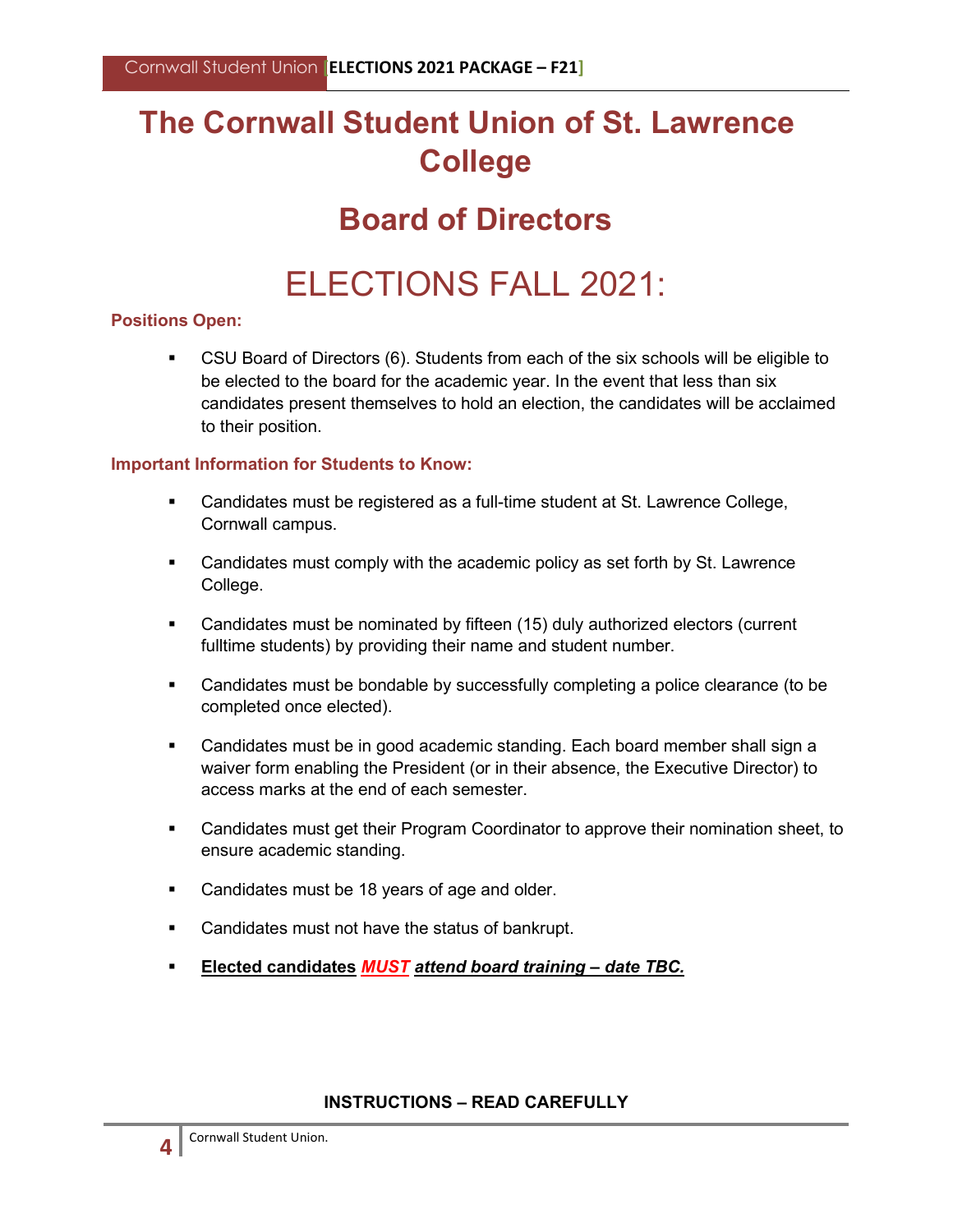### **The Cornwall Student Union of St. Lawrence College**

### **Board of Directors**

### ELECTIONS FALL 2021:

#### **Positions Open:**

 CSU Board of Directors (6). Students from each of the six schools will be eligible to be elected to the board for the academic year. In the event that less than six candidates present themselves to hold an election, the candidates will be acclaimed to their position.

#### **Important Information for Students to Know:**

- Candidates must be registered as a full-time student at St. Lawrence College, Cornwall campus.
- **EXED 10 Candidates must comply with the academic policy as set forth by St. Lawrence** College.
- Candidates must be nominated by fifteen (15) duly authorized electors (current fulltime students) by providing their name and student number.
- Candidates must be bondable by successfully completing a police clearance (to be completed once elected).
- Candidates must be in good academic standing. Each board member shall sign a waiver form enabling the President (or in their absence, the Executive Director) to access marks at the end of each semester.
- Candidates must get their Program Coordinator to approve their nomination sheet, to ensure academic standing.
- **Candidates must be 18 years of age and older.**
- **Candidates must not have the status of bankrupt.**
- **Elected candidates** *MUST attend board training – date TBC.*

#### **INSTRUCTIONS – READ CAREFULLY**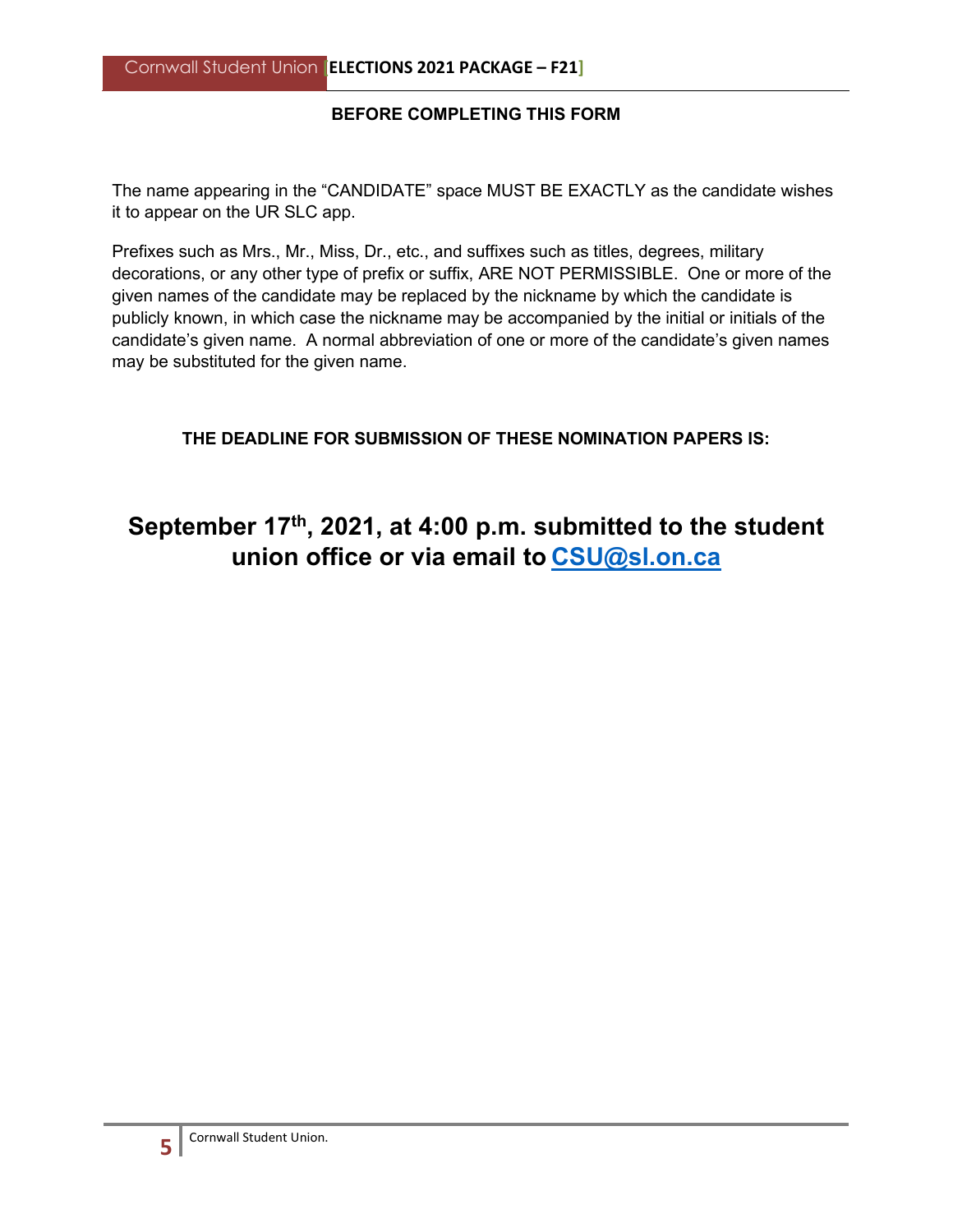#### **BEFORE COMPLETING THIS FORM**

The name appearing in the "CANDIDATE" space MUST BE EXACTLY as the candidate wishes it to appear on the UR SLC app.

Prefixes such as Mrs., Mr., Miss, Dr., etc., and suffixes such as titles, degrees, military decorations, or any other type of prefix or suffix, ARE NOT PERMISSIBLE. One or more of the given names of the candidate may be replaced by the nickname by which the candidate is publicly known, in which case the nickname may be accompanied by the initial or initials of the candidate's given name. A normal abbreviation of one or more of the candidate's given names may be substituted for the given name.

#### **THE DEADLINE FOR SUBMISSION OF THESE NOMINATION PAPERS IS:**

#### **September 17th, 2021, at 4:00 p.m. submitted to the student union office or via email to CSU@sl.on.ca**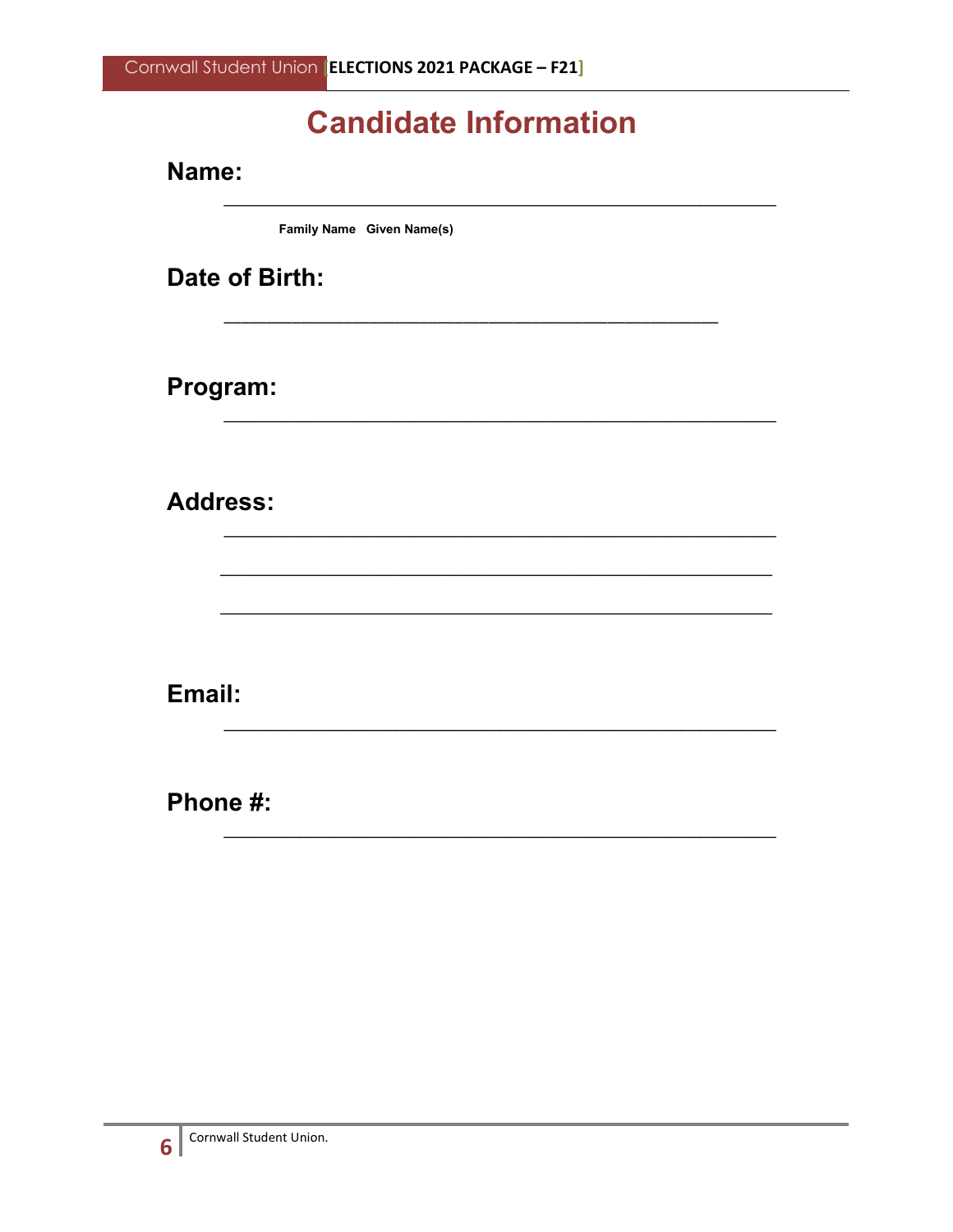### **Candidate Information**

Name:

Family Name Given Name(s)

Date of Birth:

Program:

**Address:** 

Email:

Phone #:

6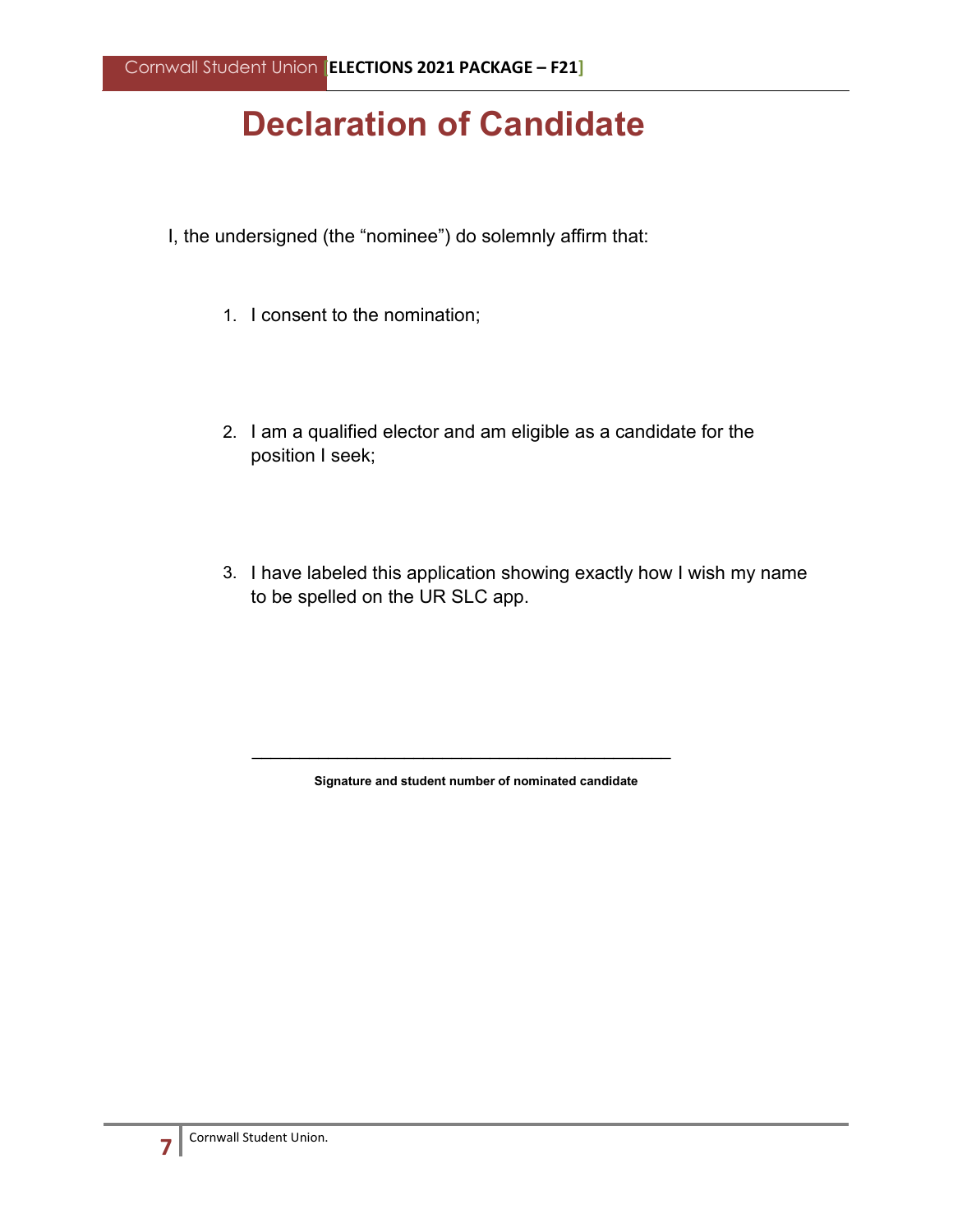### **Declaration of Candidate**

- I, the undersigned (the "nominee") do solemnly affirm that:
	- 1. I consent to the nomination;
	- 2. I am a qualified elector and am eligible as a candidate for the position I seek;
	- 3. I have labeled this application showing exactly how I wish my name to be spelled on the UR SLC app.

**Signature and student number of nominated candidate** 

\_\_\_\_\_\_\_\_\_\_\_\_\_\_\_\_\_\_\_\_\_\_\_\_\_\_\_\_\_\_\_\_\_\_\_\_\_\_\_\_\_\_\_\_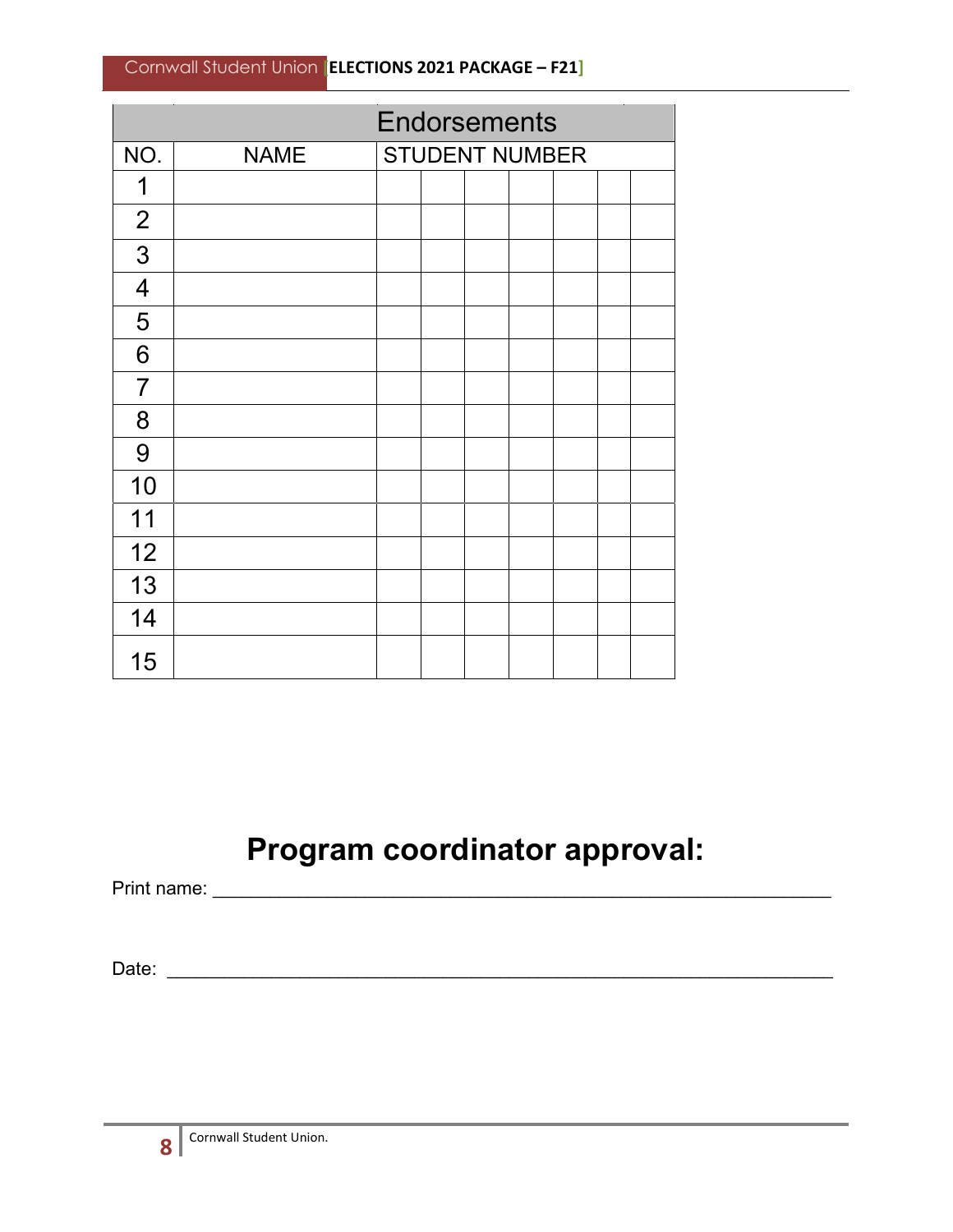|                         | <b>Endorsements</b> |                       |  |  |  |  |  |  |  |  |  |
|-------------------------|---------------------|-----------------------|--|--|--|--|--|--|--|--|--|
| NO.                     | <b>NAME</b>         | <b>STUDENT NUMBER</b> |  |  |  |  |  |  |  |  |  |
| 1                       |                     |                       |  |  |  |  |  |  |  |  |  |
| $\overline{2}$          |                     |                       |  |  |  |  |  |  |  |  |  |
| 3                       |                     |                       |  |  |  |  |  |  |  |  |  |
| $\overline{\mathbf{4}}$ |                     |                       |  |  |  |  |  |  |  |  |  |
| 5                       |                     |                       |  |  |  |  |  |  |  |  |  |
| 6                       |                     |                       |  |  |  |  |  |  |  |  |  |
| $\overline{7}$          |                     |                       |  |  |  |  |  |  |  |  |  |
| 8                       |                     |                       |  |  |  |  |  |  |  |  |  |
| 9                       |                     |                       |  |  |  |  |  |  |  |  |  |
| 10                      |                     |                       |  |  |  |  |  |  |  |  |  |
| 11                      |                     |                       |  |  |  |  |  |  |  |  |  |
| 12                      |                     |                       |  |  |  |  |  |  |  |  |  |
| 13                      |                     |                       |  |  |  |  |  |  |  |  |  |
| 14                      |                     |                       |  |  |  |  |  |  |  |  |  |
| 15                      |                     |                       |  |  |  |  |  |  |  |  |  |

### **Program coordinator approval:**

Print name: \_\_\_\_\_\_\_\_\_\_\_\_\_\_\_\_\_\_\_\_\_\_\_\_\_\_\_\_\_\_\_\_\_\_\_\_\_\_\_\_\_\_\_\_\_\_\_\_\_\_\_\_\_\_\_\_\_\_\_\_\_\_\_\_\_

Date: \_\_\_\_\_\_\_\_\_\_\_\_\_\_\_\_\_\_\_\_\_\_\_\_\_\_\_\_\_\_\_\_\_\_\_\_\_\_\_\_\_\_\_\_\_\_\_\_\_\_\_\_\_\_\_\_\_\_\_\_\_\_\_\_\_\_\_\_\_\_